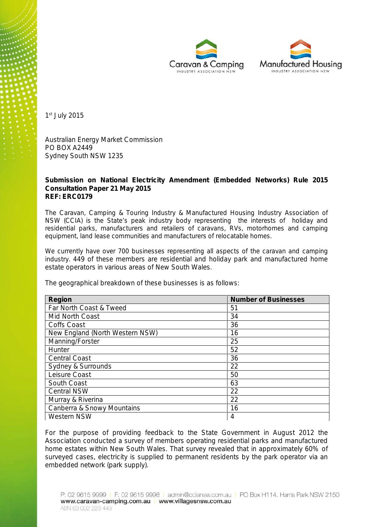



1 st July 2015

Australian Energy Market Commission PO BOX A2449 Sydney South NSW 1235

**Submission on National Electricity Amendment (Embedded Networks) Rule 2015 Consultation Paper 21 May 2015 REF: ERC0179**

The Caravan, Camping & Touring Industry & Manufactured Housing Industry Association of NSW (CCIA) is the State's peak industry body representing the interests of holiday and residential parks, manufacturers and retailers of caravans, RVs, motorhomes and camping equipment, land lease communities and manufacturers of relocatable homes.

We currently have over 700 businesses representing all aspects of the caravan and camping industry. 449 of these members are residential and holiday park and manufactured home estate operators in various areas of New South Wales.

The geographical breakdown of these businesses is as follows:

| Region                          | <b>Number of Businesses</b> |
|---------------------------------|-----------------------------|
| Far North Coast & Tweed         | 51                          |
| Mid North Coast                 | 34                          |
| Coffs Coast                     | 36                          |
| New England (North Western NSW) | 16                          |
| Manning/Forster                 | 25                          |
| Hunter                          | 52                          |
| <b>Central Coast</b>            | 36                          |
| Sydney & Surrounds              | 22                          |
| Leisure Coast                   | 50                          |
| South Coast                     | 63                          |
| <b>Central NSW</b>              | 22                          |
| Murray & Riverina               | 22                          |
| Canberra & Snowy Mountains      | 16                          |
| <b>Western NSW</b>              | 4                           |

For the purpose of providing feedback to the State Government in August 2012 the Association conducted a survey of members operating residential parks and manufactured home estates within New South Wales. That survey revealed that in approximately 60% of surveyed cases, electricity is supplied to permanent residents by the park operator via an embedded network (park supply).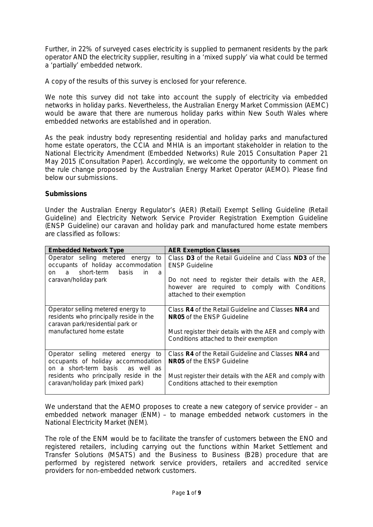Further, in 22% of surveyed cases electricity is supplied to permanent residents by the park operator AND the electricity supplier, resulting in a 'mixed supply' via what could be termed a 'partially' embedded network.

A copy of the results of this survey is enclosed for your reference.

We note this survey did not take into account the supply of electricity via embedded networks in holiday parks. Nevertheless, the Australian Energy Market Commission (AEMC) would be aware that there are numerous holiday parks within New South Wales where embedded networks are established and in operation.

As the peak industry body representing residential and holiday parks and manufactured home estate operators, the CCIA and MHIA is an important stakeholder in relation to the National Electricity Amendment (Embedded Networks) Rule 2015 Consultation Paper 21 May 2015 (Consultation Paper). Accordingly, we welcome the opportunity to comment on the rule change proposed by the Australian Energy Market Operator (AEMO). Please find below our submissions.

#### **Submissions**

Under the Australian Energy Regulator's (AER) (Retail) Exempt Selling Guideline (Retail Guideline) and Electricity Network Service Provider Registration Exemption Guideline (ENSP Guideline) our caravan and holiday park and manufactured home estate members are classified as follows:

| Embedded Network Type                                                                                                      | <b>AER Exemption Classes</b>                                                                                                         |
|----------------------------------------------------------------------------------------------------------------------------|--------------------------------------------------------------------------------------------------------------------------------------|
| Operator selling metered energy<br>to<br>occupants of holiday accommodation<br>short-term<br>basis<br>in<br>a<br>on<br>- a | Class D3 of the Retail Guideline and Class ND3 of the<br><b>ENSP Guideline</b>                                                       |
| caravan/holiday park                                                                                                       | Do not need to register their details with the AER,<br>however are required to comply with Conditions<br>attached to their exemption |
| Operator selling metered energy to<br>residents who principally reside in the<br>caravan park/residential park or          | Class R4 of the Retail Guideline and Classes NR4 and<br>NR05 of the ENSP Guideline                                                   |
| manufactured home estate                                                                                                   | Must register their details with the AER and comply with<br>Conditions attached to their exemption                                   |
| Operator selling metered energy<br>to<br>occupants of holiday accommodation<br>on a short-term basis as well as            | Class R4 of the Retail Guideline and Classes NR4 and<br>NR05 of the ENSP Guideline                                                   |
| residents who principally reside in the<br>caravan/holiday park (mixed park)                                               | Must register their details with the AER and comply with<br>Conditions attached to their exemption                                   |

We understand that the AEMO proposes to create a new category of service provider – an embedded network manager (ENM) – to manage embedded network customers in the National Electricity Market (NEM).

The role of the ENM would be to facilitate the transfer of customers between the ENO and registered retailers, including carrying out the functions within Market Settlement and Transfer Solutions (MSATS) and the Business to Business (B2B) procedure that are performed by registered network service providers, retailers and accredited service providers for non-embedded network customers.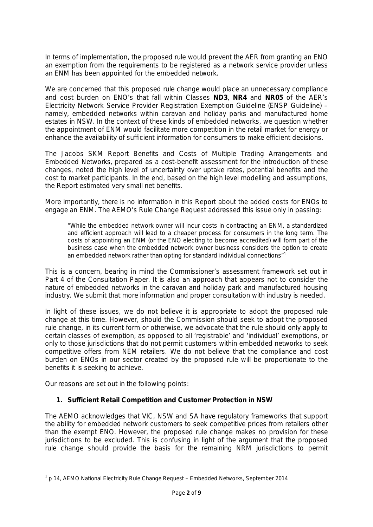In terms of implementation, the proposed rule would prevent the AER from granting an ENO an exemption from the requirements to be registered as a network service provider unless an ENM has been appointed for the embedded network.

We are concerned that this proposed rule change would place an unnecessary compliance and cost burden on ENO's that fall within Classes **ND3**, **NR4** and **NR05** of the AER's Electricity Network Service Provider Registration Exemption Guideline (ENSP Guideline) – namely, embedded networks within caravan and holiday parks and manufactured home estates in NSW. In the context of these kinds of embedded networks, we question whether the appointment of ENM would facilitate more competition in the retail market for energy or enhance the availability of sufficient information for consumers to make efficient decisions.

The Jacobs SKM Report *Benefits and Costs of Multiple Trading Arrangements and Embedded Networks*, prepared as a cost-benefit assessment for the introduction of these changes, noted the high level of uncertainty over uptake rates, potential benefits and the cost to market participants. In the end, based on the high level modelling and assumptions, the Report estimated very small net benefits.

More importantly, there is no information in this Report about the added costs for ENOs to engage an ENM. The AEMO's Rule Change Request addressed this issue only in passing:

*"While the embedded network owner will incur costs in contracting an ENM, a standardized and efficient approach will lead to a cheaper process for consumers in the long term. The costs of appointing an ENM (or the ENO electing to become accredited) will form part of the business case when the embedded network owner business considers the option to create an embedded network rather than opting for standard individual connections"*<sup>1</sup>

This is a concern, bearing in mind the Commissioner's assessment framework set out in Part 4 of the Consultation Paper. It is also an approach that appears not to consider the nature of embedded networks in the caravan and holiday park and manufactured housing industry. We submit that more information and proper consultation with industry is needed.

In light of these issues, we do not believe it is appropriate to adopt the proposed rule change at this time. However, should the Commission should seek to adopt the proposed rule change, in its current form or otherwise, we advocate that the rule should only apply to certain classes of exemption, as opposed to all 'registrable' and 'individual' exemptions, or only to those jurisdictions that do not permit customers within embedded networks to seek competitive offers from NEM retailers. We do not believe that the compliance and cost burden on ENOs in our sector created by the proposed rule will be proportionate to the benefits it is seeking to achieve.

Our reasons are set out in the following points:

**1. Sufficient Retail Competition and Customer Protection in NSW**

The AEMO acknowledges that VIC, NSW and SA have regulatory frameworks that support the ability for embedded network customers to seek competitive prices from retailers other than the exempt ENO. However, the proposed rule change makes no provision for these jurisdictions to be excluded. This is confusing in light of the argument that the proposed rule change should provide the basis for the remaining NRM jurisdictions to permit

<sup>1</sup> *p 14, AEMO National Electricity Rule Change Request – Embedded Networks, September 2014*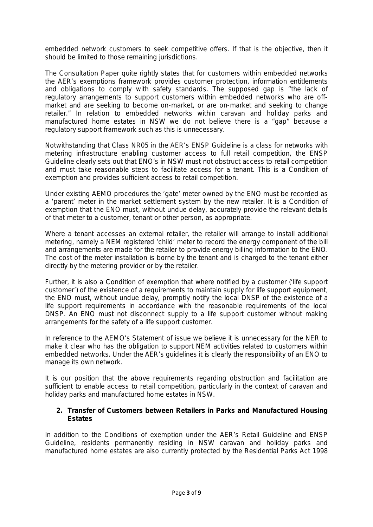embedded network customers to seek competitive offers. If that is the objective, then it should be limited to those remaining jurisdictions.

The Consultation Paper quite rightly states that for customers within embedded networks the AER's exemptions framework provides customer protection, information entitlements and obligations to comply with safety standards. The supposed gap is "the lack of regulatory arrangements to support customers within embedded networks who are off market and are seeking to become on-market, or are on-market and seeking to change retailer." In relation to embedded networks within caravan and holiday parks and manufactured home estates in NSW we do not believe there is a "gap" because a regulatory support framework such as this is unnecessary.

Notwithstanding that Class NR05 in the AER's ENSP Guideline is a class for networks with metering infrastructure enabling customer access to full retail competition, the ENSP Guideline clearly sets out that ENO's in NSW must not obstruct access to retail competition and must take reasonable steps to facilitate access for a tenant. This is a Condition of exemption and provides sufficient access to retail competition.

Under existing AEMO procedures the 'gate' meter owned by the ENO must be recorded as a 'parent' meter in the market settlement system by the new retailer. It is a Condition of exemption that the ENO must, without undue delay, accurately provide the relevant details of that meter to a customer, tenant or other person, as appropriate.

Where a tenant accesses an external retailer, the retailer will arrange to install additional metering, namely a NEM registered 'child' meter to record the energy component of the bill and arrangements are made for the retailer to provide energy billing information to the ENO. The cost of the meter installation is borne by the tenant and is charged to the tenant either directly by the metering provider or by the retailer.

Further, it is also a Condition of exemption that where notified by a customer ('life support customer') of the existence of a requirements to maintain supply for life support equipment, the ENO must, without undue delay, promptly notify the local DNSP of the existence of a life support requirements in accordance with the reasonable requirements of the local DNSP. An ENO must not disconnect supply to a life support customer without making arrangements for the safety of a life support customer.

In reference to the AEMO's Statement of issue we believe it is unnecessary for the NER to make it clear who has the obligation to support NEM activities related to customers within embedded networks. Under the AER's guidelines it is clearly the responsibility of an ENO to manage its own network.

It is our position that the above requirements regarding obstruction and facilitation are sufficient to enable access to retail competition, particularly in the context of caravan and holiday parks and manufactured home estates in NSW.

**2. Transfer of Customers between Retailers in Parks and Manufactured Housing Estates**

In addition to the Conditions of exemption under the AER's Retail Guideline and ENSP Guideline, residents permanently residing in NSW caravan and holiday parks and manufactured home estates are also currently protected by the *Residential Parks Act 1998*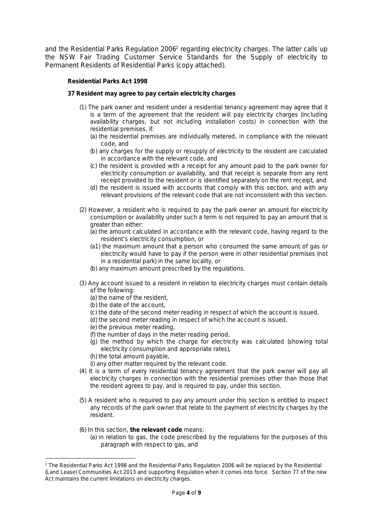and the *Residential Parks Regulation 2006<sup>2</sup>* regarding electricity charges. The latter calls up the NSW Fair Trading Customer Service Standards for the Supply of electricity to Permanent Residents of Residential Parks (copy attached).

*Residential Parks Act 1998*

*37 Resident may agree to pay certain electricity charges*

- *(1) The park owner and resident under a residential tenancy agreement may agree that it is a term of the agreement that the resident will pay electricity charges (including availability charges, but not including installation costs) in connection with the residential premises, if:*
	- *(a) the residential premises are individually metered, in compliance with the relevant code, and*
	- *(b) any charges for the supply or resupply of electricity to the resident are calculated in accordance with the relevant code, and*
	- *(c) the resident is provided with a receipt for any amount paid to the park owner for electricity consumption or availability, and that receipt is separate from any rent receipt provided to the resident or is identified separately on the rent receipt, and*
	- *(d) the resident is issued with accounts that comply with this section, and with any relevant provisions of the relevant code that are not inconsistent with this section.*
- *(2) However, a resident who is required to pay the park owner an amount for electricity consumption or availability under such a term is not required to pay an amount that is greater than either:*
	- *(a) the amount calculated in accordance with the relevant code, having regard to the resident's electricity consumption, or*
	- *(a1) the maximum amount that a person who consumed the same amount of gas or electricity would have to pay if the person were in other residential premises (not in a residential park) in the same locality, or*
	- *(b) any maximum amount prescribed by the regulations.*
- *(3) Any account issued to a resident in relation to electricity charges must contain details of the following:*
	- *(a) the name of the resident,*
	- *(b) the date of the account,*
	- *(c) the date of the second meter reading in respect of which the account is issued,*
	- *(d) the second meter reading in respect of which the account is issued,*
	- *(e) the previous meter reading,*
	- *(f) the number of days in the meter reading period,*
	- *(g) the method by which the charge for electricity was calculated (showing total electricity consumption and appropriate rates),*
	- *(h) the total amount payable,*
	- *(i) any other matter required by the relevant code.*
- *(4) It is a term of every residential tenancy agreement that the park owner will pay all electricity charges in connection with the residential premises other than those that the resident agrees to pay, and is required to pay, under this section.*
- *(5) A resident who is required to pay any amount under this section is entitled to inspect any records of the park owner that relate to the payment of electricity charges by the resident.*
- *(6) In this section, the relevant code means:*
	- *(a) in relation to gas, the code prescribed by the regulations for the purposes of this paragraph with respect to gas, and*

*<sup>2</sup> The Residential Parks Act 1998 and the Residential Parks Regulation 2006 will be replaced by the Residential (Land Lease) Communities Act 2013 and supporting Regulation when it comes into force. Section 77 of the new Act maintains the current limitations on electricity charges.*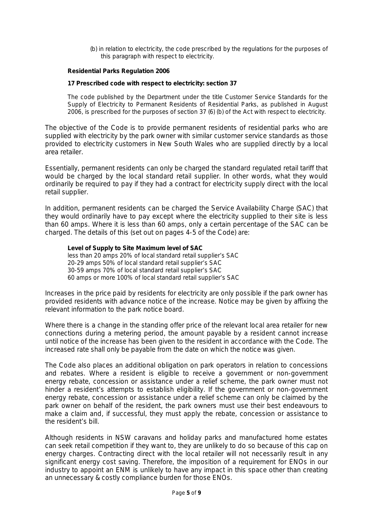*(b) in relation to electricity, the code prescribed by the regulations for the purposes of this paragraph with respect to electricity.*

*Residential Parks Regulation 2006*

*17 Prescribed code with respect to electricity: section 37*

*The code published by the Department under the title Customer Service Standards for the Supply of Electricity to Permanent Residents of Residential Parks, as published in August 2006, is prescribed for the purposes of section 37 (6) (b) of the Act with respect to electricity.*

The objective of the Code is to provide permanent residents of residential parks who are supplied with electricity by the park owner with similar customer service standards as those provided to electricity customers in New South Wales who are supplied directly by a local area retailer.

Essentially, permanent residents can only be charged the standard regulated retail tariff that would be charged by the local standard retail supplier. In other words, what they would ordinarily be required to pay if they had a contract for electricity supply direct with the local retail supplier.

In addition, permanent residents can be charged the Service Availability Charge (SAC) that they would ordinarily have to pay except where the electricity supplied to their site is less than 60 amps. Where it is less than 60 amps, only a certain percentage of the SAC can be charged. The details of this (set out on pages 4-5 of the Code) are:

*Level of Supply to Site Maximum level of SAC less than 20 amps 20% of local standard retail supplier's SAC 20-29 amps 50% of local standard retail supplier's SAC 30-59 amps 70% of local standard retail supplier's SAC 60 amps or more 100% of local standard retail supplier's SAC*

Increases in the price paid by residents for electricity are only possible if the park owner has provided residents with advance notice of the increase. Notice may be given by affixing the relevant information to the park notice board.

Where there is a change in the standing offer price of the relevant local area retailer for new connections during a metering period, the amount payable by a resident cannot increase until notice of the increase has been given to the resident in accordance with the Code. The increased rate shall only be payable from the date on which the notice was given.

The Code also places an additional obligation on park operators in relation to concessions and rebates. Where a resident is eligible to receive a government or non-government energy rebate, concession or assistance under a relief scheme, the park owner must not hinder a resident's attempts to establish eligibility. If the government or non-government energy rebate, concession or assistance under a relief scheme can only be claimed by the park owner on behalf of the resident, the park owners must use their best endeavours to make a claim and, if successful, they must apply the rebate, concession or assistance to the resident's bill.

Although residents in NSW caravans and holiday parks and manufactured home estates can seek retail competition if they want to, they are unlikely to do so because of this cap on energy charges. Contracting direct with the local retailer will not necessarily result in any significant energy cost saving. Therefore, the imposition of a requirement for ENOs in our industry to appoint an ENM is unlikely to have any impact in this space other than creating an unnecessary & costly compliance burden for those ENOs.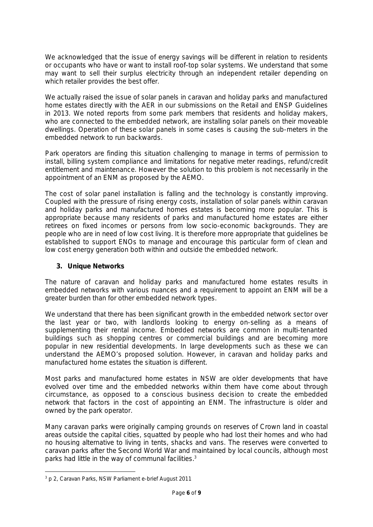We acknowledged that the issue of energy savings will be different in relation to residents or occupants who have or want to install roof-top solar systems. We understand that some may want to sell their surplus electricity through an independent retailer depending on which retailer provides the best offer.

We actually raised the issue of solar panels in caravan and holiday parks and manufactured home estates directly with the AER in our submissions on the Retail and ENSP Guidelines in 2013. We noted reports from some park members that residents and holiday makers, who are connected to the embedded network, are installing solar panels on their moveable dwellings. Operation of these solar panels in some cases is causing the sub-meters in the embedded network to run backwards.

Park operators are finding this situation challenging to manage in terms of permission to install, billing system compliance and limitations for negative meter readings, refund/credit entitlement and maintenance. However the solution to this problem is not necessarily in the appointment of an ENM as proposed by the AEMO.

The cost of solar panel installation is falling and the technology is constantly improving. Coupled with the pressure of rising energy costs, installation of solar panels within caravan and holiday parks and manufactured homes estates is becoming more popular. This is appropriate because many residents of parks and manufactured home estates are either retirees on fixed incomes or persons from low socio-economic backgrounds. They are people who are in need of low cost living. It is therefore more appropriate that guidelines be established to support ENOs to manage and encourage this particular form of clean and low cost energy generation both within and outside the embedded network.

**3. Unique Networks**

The nature of caravan and holiday parks and manufactured home estates results in embedded networks with various nuances and a requirement to appoint an ENM will be a greater burden than for other embedded network types.

We understand that there has been significant growth in the embedded network sector over the last year or two, with landlords looking to energy on-selling as a means of supplementing their rental income. Embedded networks are common in multi-tenanted buildings such as shopping centres or commercial buildings and are becoming more popular in new residential developments. In large developments such as these we can understand the AEMO's proposed solution. However, in caravan and holiday parks and manufactured home estates the situation is different.

Most parks and manufactured home estates in NSW are older developments that have evolved over time and the embedded networks within them have come about through circumstance, as opposed to a conscious business decision to create the embedded network that factors in the cost of appointing an ENM. The infrastructure is older and owned by the park operator.

Many caravan parks were originally camping grounds on reserves of Crown land in coastal areas outside the capital cities, squatted by people who had lost their homes and who had no housing alternative to living in tents, shacks and vans. The reserves were converted to caravan parks after the Second World War and maintained by local councils, although most parks had little in the way of communal facilities.<sup>3</sup>

*<sup>3</sup> p 2, Caravan Parks, NSW Parliament e-brief August 2011*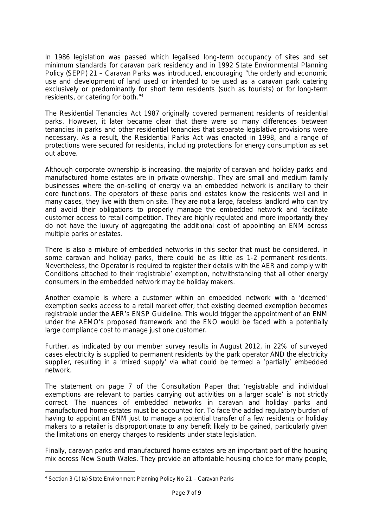In 1986 legislation was passed which legalised long-term occupancy of sites and set minimum standards for caravan park residency and in 1992 State Environmental Planning Policy (SEPP) 21 – Caravan Parks was introduced, encouraging "the orderly and economic use and development of land used or intended to be used as a caravan park catering exclusively or predominantly for short term residents (such as tourists) or for long-term residents, or catering for both." 4

The Residential Tenancies Act 1987 originally covered permanent residents of residential parks. However, it later became clear that there were so many differences between tenancies in parks and other residential tenancies that separate legislative provisions were necessary. As a result, the Residential Parks Act was enacted in 1998, and a range of protections were secured for residents, including protections for energy consumption as set out above.

Although corporate ownership is increasing, the majority of caravan and holiday parks and manufactured home estates are in private ownership. They are small and medium family businesses where the on-selling of energy via an embedded network is ancillary to their core functions. The operators of these parks and estates know the residents well and in many cases, they live with them on site. They are not a large, faceless landlord who can try and avoid their obligations to properly manage the embedded network and facilitate customer access to retail competition. They are highly regulated and more importantly they do not have the luxury of aggregating the additional cost of appointing an ENM across multiple parks or estates.

There is also a mixture of embedded networks in this sector that must be considered. In some caravan and holiday parks, there could be as little as 1-2 permanent residents. Nevertheless, the Operator is required to register their details with the AER and comply with Conditions attached to their 'registrable' exemption, notwithstanding that all other energy consumers in the embedded network may be holiday makers.

Another example is where a customer within an embedded network with a 'deemed' exemption seeks access to a retail market offer; that existing deemed exemption becomes registrable under the AER's ENSP Guideline. This would trigger the appointment of an ENM under the AEMO's proposed framework and the ENO would be faced with a potentially large compliance cost to manage just one customer.

Further, as indicated by our member survey results in August 2012, in 22% of surveyed cases electricity is supplied to permanent residents by the park operator AND the electricity supplier, resulting in a 'mixed supply' via what could be termed a 'partially' embedded network.

The statement on page 7 of the Consultation Paper that 'registrable and individual exemptions are relevant to parties carrying out activities on a larger scale' is not strictly correct. The nuances of embedded networks in caravan and holiday parks and manufactured home estates must be accounted for. To face the added regulatory burden of having to appoint an ENM just to manage a potential transfer of a few residents or holiday makers to a retailer is disproportionate to any benefit likely to be gained, particularly given the limitations on energy charges to residents under state legislation.

Finally, caravan parks and manufactured home estates are an important part of the housing mix across New South Wales. They provide an affordable housing choice for many people,

*<sup>4</sup> Section 3 (1) (a) State Environment Planning Policy No 21 – Caravan Parks*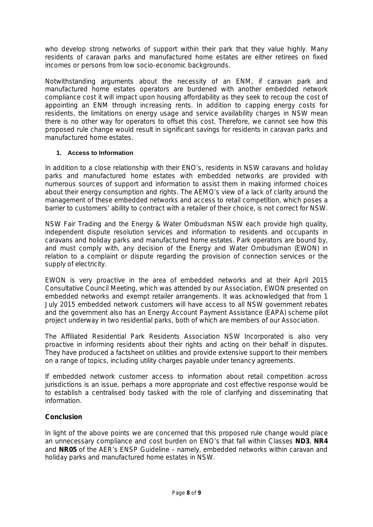who develop strong networks of support within their park that they value highly. Many residents of caravan parks and manufactured home estates are either retirees on fixed incomes or persons from low socio-economic backgrounds.

Notwithstanding arguments about the necessity of an ENM, if caravan park and manufactured home estates operators are burdened with another embedded network compliance cost it will impact upon housing affordability as they seek to recoup the cost of appointing an ENM through increasing rents. In addition to capping energy costs for residents, the limitations on energy usage and service availability charges in NSW mean there is no other way for operators to offset this cost. Therefore, we cannot see how this proposed rule change would result in significant savings for residents in caravan parks and manufactured home estates.

#### **1. Access to Information**

In addition to a close relationship with their ENO's, residents in NSW caravans and holiday parks and manufactured home estates with embedded networks are provided with numerous sources of support and information to assist them in making informed choices about their energy consumption and rights. The AEMO's view of a lack of clarity around the management of these embedded networks and access to retail competition, which poses a barrier to customers' ability to contract with a retailer of their choice, is not correct for NSW.

NSW Fair Trading and the Energy & Water Ombudsman NSW each provide high quality, independent dispute resolution services and information to residents and occupants in caravans and holiday parks and manufactured home estates. Park operators are bound by, and must comply with, any decision of the Energy and Water Ombudsman (EWON) in relation to a complaint or dispute regarding the provision of connection services or the supply of electricity.

EWON is very proactive in the area of embedded networks and at their April 2015 Consultative Council Meeting, which was attended by our Association, EWON presented on embedded networks and exempt retailer arrangements. It was acknowledged that from 1 July 2015 embedded network customers will have access to all NSW government rebates and the government also has an Energy Account Payment Assistance (EAPA) scheme pilot project underway in two residential parks, both of which are members of our Association.

The Affiliated Residential Park Residents Association NSW Incorporated is also very proactive in informing residents about their rights and acting on their behalf in disputes. They have produced a factsheet on utilities and provide extensive support to their members on a range of topics, including utility charges payable under tenancy agreements.

If embedded network customer access to information about retail competition across jurisdictions is an issue, perhaps a more appropriate and cost effective response would be to establish a centralised body tasked with the role of clarifying and disseminating that information.

#### **Conclusion**

In light of the above points we are concerned that this proposed rule change would place an unnecessary compliance and cost burden on ENO's that fall within Classes **ND3**, **NR4** and **NR05** of the AER's ENSP Guideline – namely, embedded networks within caravan and holiday parks and manufactured home estates in NSW.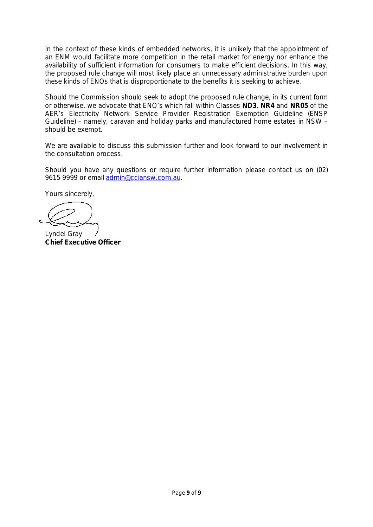In the context of these kinds of embedded networks, it is unlikely that the appointment of an ENM would facilitate more competition in the retail market for energy nor enhance the availability of sufficient information for consumers to make efficient decisions. In this way, the proposed rule change will most likely place an unnecessary administrative burden upon these kinds of ENOs that is disproportionate to the benefits it is seeking to achieve.

Should the Commission should seek to adopt the proposed rule change, in its current form or otherwise, we advocate that ENO's which fall within Classes **ND3**, **NR4** and **NR05** of the AER's Electricity Network Service Provider Registration Exemption Guideline (ENSP Guideline) – namely, caravan and holiday parks and manufactured home estates in NSW – should be exempt.

We are available to discuss this submission further and look forward to our involvement in the consultation process.

Should you have any questions or require further information please contact us on (02) 9615 9999 or email admin@cciansw.com.au.

Yours sincerely,

Lyndel Gray **Chief Executive Officer**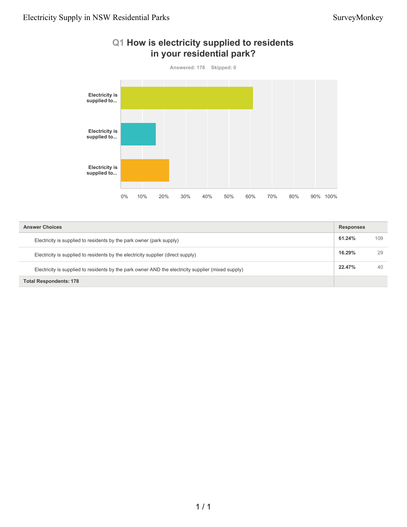

## **Q1 How is electricity supplied to residents in your residential park?**

| <b>Answer Choices</b>                                                                              |        | <b>Responses</b> |  |
|----------------------------------------------------------------------------------------------------|--------|------------------|--|
| Electricity is supplied to residents by the park owner (park supply)                               | 61.24% | 109              |  |
| Electricity is supplied to residents by the electricity supplier (direct supply)                   | 16.29% | 29               |  |
| Electricity is supplied to residents by the park owner AND the electricity supplier (mixed supply) | 22.47% | 40               |  |
| <b>Total Respondents: 178</b>                                                                      |        |                  |  |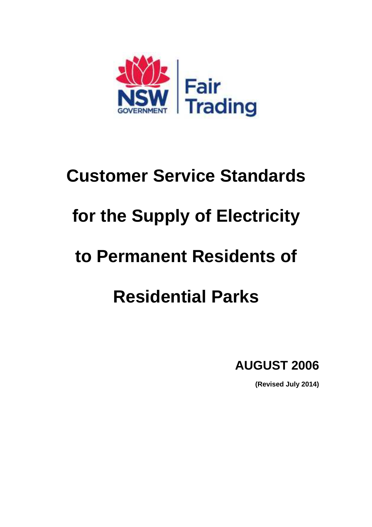

# **Customer Service Standards for the Supply of Electricity to Permanent Residents of Residential Parks**

**AUGUST 2006** 

**(Revised July 2014)**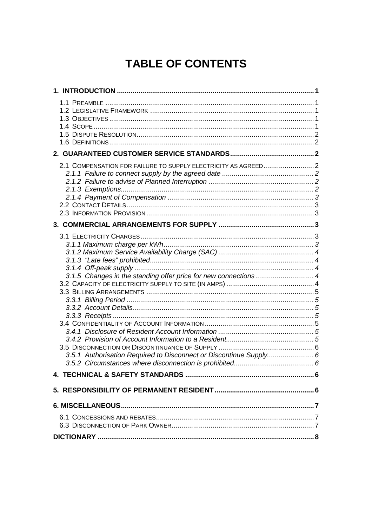## **TABLE OF CONTENTS**

| 2.1 COMPENSATION FOR FAILURE TO SUPPLY ELECTRICITY AS AGREED 2     |  |
|--------------------------------------------------------------------|--|
|                                                                    |  |
|                                                                    |  |
|                                                                    |  |
| 3.1.5 Changes in the standing offer price for new connections4     |  |
|                                                                    |  |
|                                                                    |  |
|                                                                    |  |
|                                                                    |  |
|                                                                    |  |
|                                                                    |  |
|                                                                    |  |
|                                                                    |  |
| 3.5.1 Authorisation Required to Disconnect or Discontinue Supply 6 |  |
|                                                                    |  |
|                                                                    |  |
|                                                                    |  |
|                                                                    |  |
|                                                                    |  |
|                                                                    |  |
|                                                                    |  |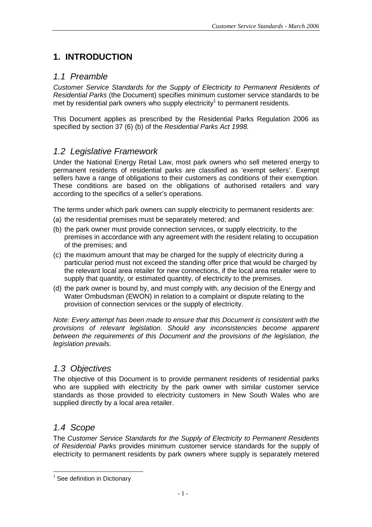## **1. INTRODUCTION**

## 1.1 Preamble

Customer Service Standards for the Supply of Electricity to Permanent Residents of Residential Parks (the Document) specifies minimum customer service standards to be met by residential park owners who supply electricity<sup>1</sup> to permanent residents.

This Document applies as prescribed by the Residential Parks Regulation 2006 as specified by section 37 (6) (b) of the Residential Parks Act 1998.

## 1.2 Legislative Framework

Under the National Energy Retail Law, most park owners who sell metered energy to permanent residents of residential parks are classified as 'exempt sellers'. Exempt sellers have a range of obligations to their customers as conditions of their exemption. These conditions are based on the obligations of authorised retailers and vary according to the specifics of a seller's operations.

The terms under which park owners can supply electricity to permanent residents are:

- (a) the residential premises must be separately metered; and
- (b) the park owner must provide connection services, or supply electricity, to the premises in accordance with any agreement with the resident relating to occupation of the premises; and
- (c) the maximum amount that may be charged for the supply of electricity during a particular period must not exceed the standing offer price that would be charged by the relevant local area retailer for new connections, if the local area retailer were to supply that quantity, or estimated quantity, of electricity to the premises.
- (d) the park owner is bound by, and must comply with, any decision of the Energy and Water Ombudsman (EWON) in relation to a complaint or dispute relating to the provision of connection services or the supply of electricity.

Note: Every attempt has been made to ensure that this Document is consistent with the provisions of relevant legislation. Should any inconsistencies become apparent between the requirements of this Document and the provisions of the legislation, the legislation prevails.

## 1.3 Objectives

The objective of this Document is to provide permanent residents of residential parks who are supplied with electricity by the park owner with similar customer service standards as those provided to electricity customers in New South Wales who are supplied directly by a local area retailer.

## 1.4 Scope

l

The Customer Service Standards for the Supply of Electricity to Permanent Residents of Residential Parks provides minimum customer service standards for the supply of electricity to permanent residents by park owners where supply is separately metered

 $1$  See definition in Dictionary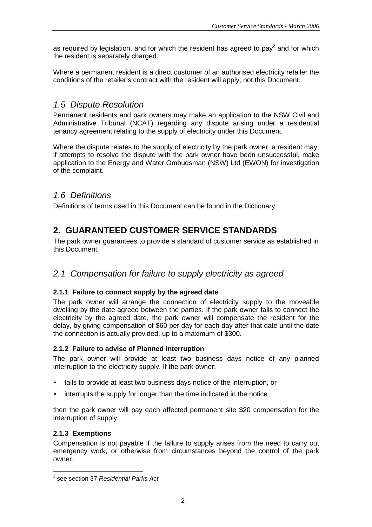as required by legislation, and for which the resident has agreed to pay<sup>2</sup> and for which the resident is separately charged.

Where a permanent resident is a direct customer of an authorised electricity retailer the conditions of the retailer's contract with the resident will apply, not this Document.

## 1.5 Dispute Resolution

Permanent residents and park owners may make an application to the NSW Civil and Administrative Tribunal (NCAT) regarding any dispute arising under a residential tenancy agreement relating to the supply of electricity under this Document.

Where the dispute relates to the supply of electricity by the park owner, a resident may, if attempts to resolve the dispute with the park owner have been unsuccessful, make application to the Energy and Water Ombudsman (NSW) Ltd (EWON) for investigation of the complaint.

## 1.6 Definitions

Definitions of terms used in this Document can be found in the Dictionary.

## **2. GUARANTEED CUSTOMER SERVICE STANDARDS**

The park owner guarantees to provide a standard of customer service as established in this Document.

#### 2.1 Compensation for failure to supply electricity as agreed

#### **2.1.1 Failure to connect supply by the agreed date**

The park owner will arrange the connection of electricity supply to the moveable dwelling by the date agreed between the parties. If the park owner fails to connect the electricity by the agreed date, the park owner will compensate the resident for the delay, by giving compensation of \$60 per day for each day after that date until the date the connection is actually provided, up to a maximum of \$300.

#### **2.1.2 Failure to advise of Planned Interruption**

The park owner will provide at least two business days notice of any planned interruption to the electricity supply. If the park owner:

- fails to provide at least two business days notice of the interruption, or
- interrupts the supply for longer than the time indicated in the notice

then the park owner will pay each affected permanent site \$20 compensation for the interruption of supply.

#### **2.1.3 Exemptions**

Compensation is not payable if the failure to supply arises from the need to carry out emergency work, or otherwise from circumstances beyond the control of the park owner.

 2 see section 37 Residential Parks Act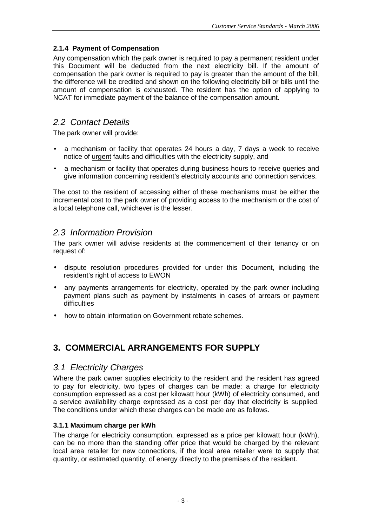#### **2.1.4 Payment of Compensation**

Any compensation which the park owner is required to pay a permanent resident under this Document will be deducted from the next electricity bill. If the amount of compensation the park owner is required to pay is greater than the amount of the bill, the difference will be credited and shown on the following electricity bill or bills until the amount of compensation is exhausted. The resident has the option of applying to NCAT for immediate payment of the balance of the compensation amount.

## 2.2 Contact Details

The park owner will provide:

- a mechanism or facility that operates 24 hours a day, 7 days a week to receive notice of urgent faults and difficulties with the electricity supply, and
- a mechanism or facility that operates during business hours to receive queries and give information concerning resident's electricity accounts and connection services.

The cost to the resident of accessing either of these mechanisms must be either the incremental cost to the park owner of providing access to the mechanism or the cost of a local telephone call, whichever is the lesser.

## 2.3 Information Provision

The park owner will advise residents at the commencement of their tenancy or on request of:

- dispute resolution procedures provided for under this Document, including the resident's right of access to EWON
- any payments arrangements for electricity, operated by the park owner including payment plans such as payment by instalments in cases of arrears or payment difficulties
- how to obtain information on Government rebate schemes.

## **3. COMMERCIAL ARRANGEMENTS FOR SUPPLY**

#### 3.1 Electricity Charges

Where the park owner supplies electricity to the resident and the resident has agreed to pay for electricity, two types of charges can be made: a charge for electricity consumption expressed as a cost per kilowatt hour (kWh) of electricity consumed, and a service availability charge expressed as a cost per day that electricity is supplied. The conditions under which these charges can be made are as follows.

#### **3.1.1 Maximum charge per kWh**

The charge for electricity consumption, expressed as a price per kilowatt hour (kWh), can be no more than the standing offer price that would be charged by the relevant local area retailer for new connections, if the local area retailer were to supply that quantity, or estimated quantity, of energy directly to the premises of the resident.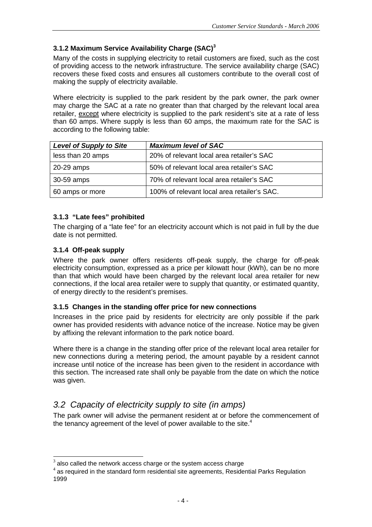#### **3.1.2 Maximum Service Availability Charge (SAC)<sup>3</sup>**

Many of the costs in supplying electricity to retail customers are fixed, such as the cost of providing access to the network infrastructure. The service availability charge (SAC) recovers these fixed costs and ensures all customers contribute to the overall cost of making the supply of electricity available.

Where electricity is supplied to the park resident by the park owner, the park owner may charge the SAC at a rate no greater than that charged by the relevant local area retailer, except where electricity is supplied to the park resident's site at a rate of less than 60 amps. Where supply is less than 60 amps, the maximum rate for the SAC is according to the following table:

| <b>Level of Supply to Site</b> | <b>Maximum level of SAC</b>                 |
|--------------------------------|---------------------------------------------|
| less than 20 amps              | 20% of relevant local area retailer's SAC   |
| 20-29 amps                     | 50% of relevant local area retailer's SAC   |
| 30-59 amps                     | 70% of relevant local area retailer's SAC   |
| 60 amps or more                | 100% of relevant local area retailer's SAC. |

#### **3.1.3 "Late fees" prohibited**

The charging of a "late fee" for an electricity account which is not paid in full by the due date is not permitted.

#### **3.1.4 Off-peak supply**

l

Where the park owner offers residents off-peak supply, the charge for off-peak electricity consumption, expressed as a price per kilowatt hour (kWh), can be no more than that which would have been charged by the relevant local area retailer for new connections, if the local area retailer were to supply that quantity, or estimated quantity, of energy directly to the resident's premises.

#### **3.1.5 Changes in the standing offer price for new connections**

Increases in the price paid by residents for electricity are only possible if the park owner has provided residents with advance notice of the increase. Notice may be given by affixing the relevant information to the park notice board.

Where there is a change in the standing offer price of the relevant local area retailer for new connections during a metering period, the amount payable by a resident cannot increase until notice of the increase has been given to the resident in accordance with this section. The increased rate shall only be payable from the date on which the notice was given.

## 3.2 Capacity of electricity supply to site (in amps)

The park owner will advise the permanent resident at or before the commencement of the tenancy agreement of the level of power available to the site. $4$ 

<sup>3</sup> also called the network access charge or the system access charge

 $4$  as required in the standard form residential site agreements, Residential Parks Regulation 1999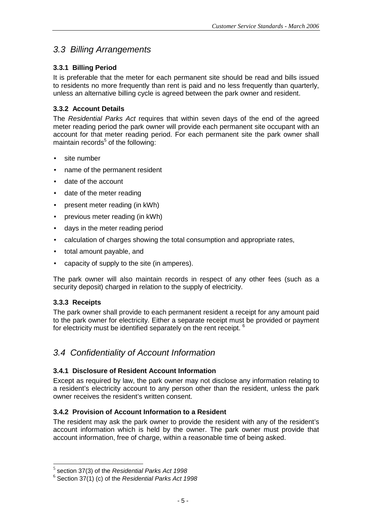## 3.3 Billing Arrangements

#### **3.3.1 Billing Period**

It is preferable that the meter for each permanent site should be read and bills issued to residents no more frequently than rent is paid and no less frequently than quarterly, unless an alternative billing cycle is agreed between the park owner and resident.

#### **3.3.2 Account Details**

The Residential Parks Act requires that within seven days of the end of the agreed meter reading period the park owner will provide each permanent site occupant with an account for that meter reading period. For each permanent site the park owner shall maintain records<sup>5</sup> of the following:

- site number
- name of the permanent resident
- date of the account
- date of the meter reading
- present meter reading (in kWh)
- previous meter reading (in kWh)
- days in the meter reading period
- calculation of charges showing the total consumption and appropriate rates,
- total amount payable, and
- capacity of supply to the site (in amperes).

The park owner will also maintain records in respect of any other fees (such as a security deposit) charged in relation to the supply of electricity.

#### **3.3.3 Receipts**

l

The park owner shall provide to each permanent resident a receipt for any amount paid to the park owner for electricity. Either a separate receipt must be provided or payment for electricity must be identified separately on the rent receipt. <sup>6</sup>

## 3.4 Confidentiality of Account Information

#### **3.4.1 Disclosure of Resident Account Information**

Except as required by law, the park owner may not disclose any information relating to a resident's electricity account to any person other than the resident, unless the park owner receives the resident's written consent.

#### **3.4.2 Provision of Account Information to a Resident**

The resident may ask the park owner to provide the resident with any of the resident's account information which is held by the owner. The park owner must provide that account information, free of charge, within a reasonable time of being asked.

 $<sup>5</sup>$  section 37(3) of the Residential Parks Act 1998</sup>

 $6$  Section 37(1) (c) of the Residential Parks Act 1998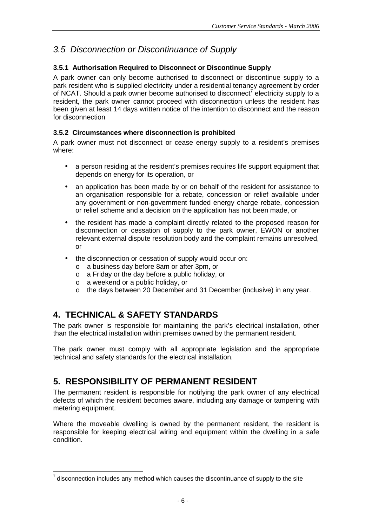## 3.5 Disconnection or Discontinuance of Supply

#### **3.5.1 Authorisation Required to Disconnect or Discontinue Supply**

A park owner can only become authorised to disconnect or discontinue supply to a park resident who is supplied electricity under a residential tenancy agreement by order of NCAT. Should a park owner become authorised to disconnect<sup>7</sup> electricity supply to a resident, the park owner cannot proceed with disconnection unless the resident has been given at least 14 days written notice of the intention to disconnect and the reason for disconnection

#### **3.5.2 Circumstances where disconnection is prohibited**

A park owner must not disconnect or cease energy supply to a resident's premises where:

- a person residing at the resident's premises requires life support equipment that depends on energy for its operation, or
- an application has been made by or on behalf of the resident for assistance to an organisation responsible for a rebate, concession or relief available under any government or non-government funded energy charge rebate, concession or relief scheme and a decision on the application has not been made, or
- the resident has made a complaint directly related to the proposed reason for disconnection or cessation of supply to the park owner, EWON or another relevant external dispute resolution body and the complaint remains unresolved, or
- the disconnection or cessation of supply would occur on:
	- o a business day before 8am or after 3pm, or
	- o a Friday or the day before a public holiday, or
	- o a weekend or a public holiday, or
	- o the days between 20 December and 31 December (inclusive) in any year.

## **4. TECHNICAL & SAFETY STANDARDS**

l

The park owner is responsible for maintaining the park's electrical installation, other than the electrical installation within premises owned by the permanent resident.

The park owner must comply with all appropriate legislation and the appropriate technical and safety standards for the electrical installation.

## **5. RESPONSIBILITY OF PERMANENT RESIDENT**

The permanent resident is responsible for notifying the park owner of any electrical defects of which the resident becomes aware, including any damage or tampering with metering equipment.

Where the moveable dwelling is owned by the permanent resident, the resident is responsible for keeping electrical wiring and equipment within the dwelling in a safe condition.

 $\frac{7}{7}$  disconnection includes any method which causes the discontinuance of supply to the site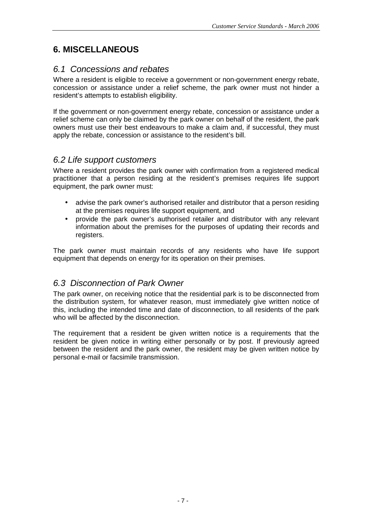## **6. MISCELLANEOUS**

## 6.1 Concessions and rebates

Where a resident is eligible to receive a government or non-government energy rebate, concession or assistance under a relief scheme, the park owner must not hinder a resident's attempts to establish eligibility.

If the government or non-government energy rebate, concession or assistance under a relief scheme can only be claimed by the park owner on behalf of the resident, the park owners must use their best endeavours to make a claim and, if successful, they must apply the rebate, concession or assistance to the resident's bill.

#### 6.2 Life support customers

Where a resident provides the park owner with confirmation from a registered medical practitioner that a person residing at the resident's premises requires life support equipment, the park owner must:

- advise the park owner's authorised retailer and distributor that a person residing at the premises requires life support equipment, and
- provide the park owner's authorised retailer and distributor with any relevant information about the premises for the purposes of updating their records and registers.

The park owner must maintain records of any residents who have life support equipment that depends on energy for its operation on their premises.

## 6.3 Disconnection of Park Owner

The park owner, on receiving notice that the residential park is to be disconnected from the distribution system, for whatever reason, must immediately give written notice of this, including the intended time and date of disconnection, to all residents of the park who will be affected by the disconnection.

The requirement that a resident be given written notice is a requirements that the resident be given notice in writing either personally or by post. If previously agreed between the resident and the park owner, the resident may be given written notice by personal e-mail or facsimile transmission.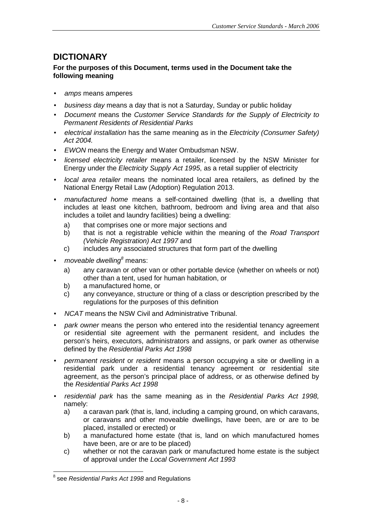## **DICTIONARY**

#### **For the purposes of this Document, terms used in the Document take the following meaning**

- amps means amperes
- business day means a day that is not a Saturday, Sunday or public holiday
- Document means the Customer Service Standards for the Supply of Electricity to Permanent Residents of Residential Parks
- electrical installation has the same meaning as in the Electricity (Consumer Safety) Act 2004.
- EWON means the Energy and Water Ombudsman NSW.
- *licensed electricity retailer* means a retailer, licensed by the NSW Minister for Energy under the Electricity Supply Act 1995, as a retail supplier of electricity
- local area retailer means the nominated local area retailers, as defined by the National Energy Retail Law (Adoption) Regulation 2013.
- manufactured home means a self-contained dwelling (that is, a dwelling that includes at least one kitchen, bathroom, bedroom and living area and that also includes a toilet and laundry facilities) being a dwelling:
	- a) that comprises one or more major sections and
	- b) that is not a registrable vehicle within the meaning of the Road Transport (Vehicle Registration) Act 1997 and
	- c) includes any associated structures that form part of the dwelling
- moveable dwelling $\delta$  means:
	- a) any caravan or other van or other portable device (whether on wheels or not) other than a tent, used for human habitation, or
	- b) a manufactured home, or
	- c) any conveyance, structure or thing of a class or description prescribed by the regulations for the purposes of this definition
- NCAT means the NSW Civil and Administrative Tribunal.
- park owner means the person who entered into the residential tenancy agreement or residential site agreement with the permanent resident, and includes the person's heirs, executors, administrators and assigns, or park owner as otherwise defined by the Residential Parks Act 1998
- permanent resident or resident means a person occupying a site or dwelling in a residential park under a residential tenancy agreement or residential site agreement, as the person's principal place of address, or as otherwise defined by the Residential Parks Act 1998
- residential park has the same meaning as in the Residential Parks Act 1998, namely:
	- a) a caravan park (that is, land, including a camping ground, on which caravans, or caravans and other moveable dwellings, have been, are or are to be placed, installed or erected) or
	- b) a manufactured home estate (that is, land on which manufactured homes have been, are or are to be placed)
	- c) whether or not the caravan park or manufactured home estate is the subject of approval under the Local Government Act 1993

l

 $^8$  see Residential Parks Act 1998 and Regulations